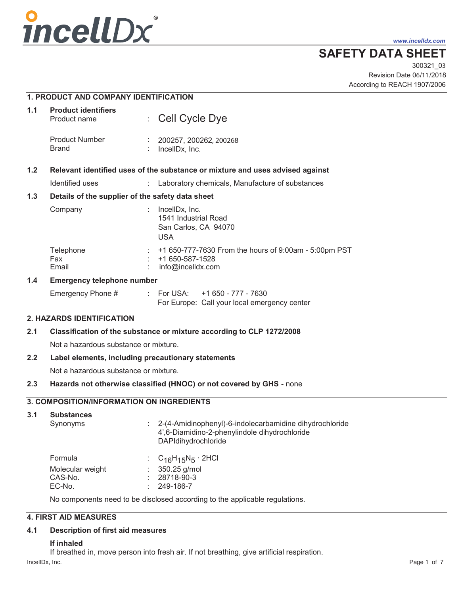

*www.incelldx.com*

# **SAFETY DATA SHEET**

Revision Date 06/11/2018 300321\_03 According to REACH 1907/2006

|     | <b>1. PRODUCT AND COMPANY IDENTIFICATION</b>                                  |                           |                                                                                               |
|-----|-------------------------------------------------------------------------------|---------------------------|-----------------------------------------------------------------------------------------------|
| 1.1 | <b>Product identifiers</b><br>Product name                                    | $\mathbb{Z}^{\mathbb{Z}}$ | Cell Cycle Dye                                                                                |
|     | <b>Product Number</b><br><b>Brand</b>                                         |                           | 200257, 200262, 200268<br>IncellDx, Inc.                                                      |
| 1.2 | Relevant identified uses of the substance or mixture and uses advised against |                           |                                                                                               |
|     | Identified uses                                                               | $\mathbb{R}^{\mathbb{Z}}$ | Laboratory chemicals, Manufacture of substances                                               |
| 1.3 | Details of the supplier of the safety data sheet                              |                           |                                                                                               |
|     | Company                                                                       | ÷                         | IncellDx, Inc.<br>1541 Industrial Road<br>San Carlos, CA 94070<br><b>USA</b>                  |
|     | Telephone<br>Fax<br>Email                                                     | ÷                         | +1 650-777-7630 From the hours of 9:00am - 5:00pm PST<br>+1 650-587-1528<br>info@incelldx.com |
| 1.4 | <b>Emergency telephone number</b>                                             |                           |                                                                                               |

| Emergency Phone # |  | : For USA: $+1650 - 777 - 7630$              |
|-------------------|--|----------------------------------------------|
|                   |  | For Europe: Call your local emergency center |

# **2. HAZARDS IDENTIFICATION**

# **2.1 Classification of the substance or mixture according to CLP 1272/2008**

Not a hazardous substance or mixture.

# **2.2 Label elements, including precautionary statements**

Not a hazardous substance or mixture.

# **2.3 Hazards not otherwise classified (HNOC) or not covered by GHS** - none

# **3. COMPOSITION/INFORMATION ON INGREDIENTS**

### **3.1 Substances**

| Synonyms         | $\therefore$ 2-(4-Amidinophenyl)-6-indolecarbamidine dihydrochloride<br>4',6-Diamidino-2-phenylindole dihydrochloride<br>DAPIdihydrochloride |
|------------------|----------------------------------------------------------------------------------------------------------------------------------------------|
| Formula          | : $C_{16}H_{15}N_5 \cdot 2HCl$                                                                                                               |
| Molecular weight | $: 350.25$ g/mol                                                                                                                             |

CAS-No. : 28718-90-3 EC-No. 249-186-7

No components need to be disclosed according to the applicable regulations.

# **4. FIRST AID MEASURES**

# **4.1 Description of first aid measures**

# **If inhaled**

If breathed in, move person into fresh air. If not breathing, give artificial respiration.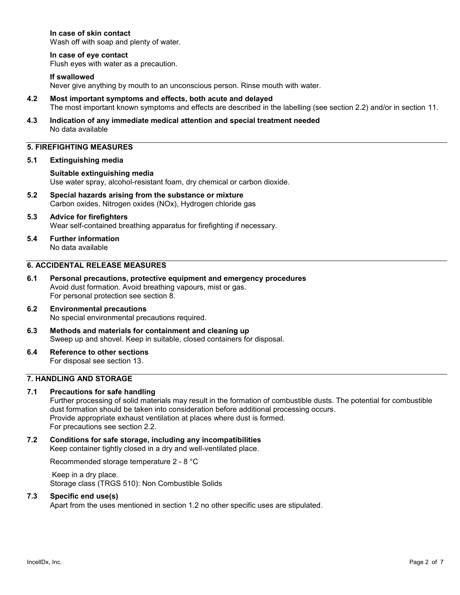### **In case of skin contact**

Wash off with soap and plenty of water.

### **In case of eye contact**

Flush eyes with water as a precaution.

### **If swallowed**

Never give anything by mouth to an unconscious person. Rinse mouth with water.

- **4.2 Most important symptoms and effects, both acute and delayed**  The most important known symptoms and effects are described in the labelling (see section 2.2) and/or in section 11.
- **4.3 Indication of any immediate medical attention and special treatment needed**  No data available

# **5. FIREFIGHTING MEASURES**

#### **5.1 Extinguishing media**

### **Suitable extinguishing media**  Use water spray, alcohol-resistant foam, dry chemical or carbon dioxide.

**5.2 Special hazards arising from the substance or mixture**  Carbon oxides, Nitrogen oxides (NOx), Hydrogen chloride gas

### **5.3 Advice for firefighters**  Wear self-contained breathing apparatus for firefighting if necessary.

**5.4 Further information**  No data available

### **6. ACCIDENTAL RELEASE MEASURES**

**6.1 Personal precautions, protective equipment and emergency procedures**  Avoid dust formation. Avoid breathing vapours, mist or gas. For personal protection see section 8.

#### **6.2 Environmental precautions**  No special environmental precautions required.

- **6.3 Methods and materials for containment and cleaning up**  Sweep up and shovel. Keep in suitable, closed containers for disposal.
- **6.4 Reference to other sections**  For disposal see section 13.

### **7. HANDLING AND STORAGE**

#### **7.1 Precautions for safe handling**

Further processing of solid materials may result in the formation of combustible dusts. The potential for combustible dust formation should be taken into consideration before additional processing occurs. Provide appropriate exhaust ventilation at places where dust is formed. For precautions see section 2.2.

**7.2 Conditions for safe storage, including any incompatibilities**  Keep container tightly closed in a dry and well-ventilated place.

Recommended storage temperature 2 - 8 °C

 Keep in a dry place. Storage class (TRGS 510): Non Combustible Solids

### **7.3 Specific end use(s)**

Apart from the uses mentioned in section 1.2 no other specific uses are stipulated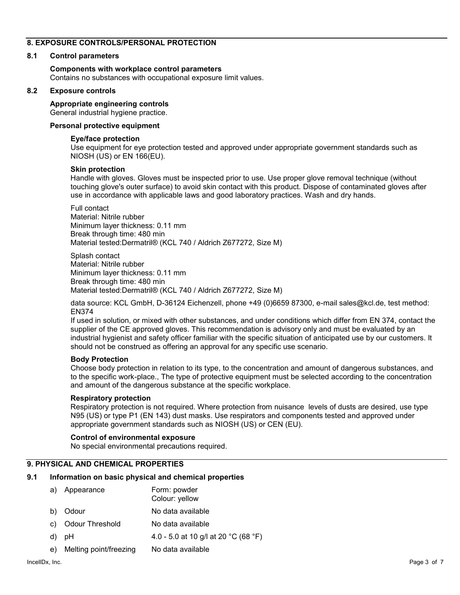### **8. EXPOSURE CONTROLS/PERSONAL PROTECTION**

#### **8.1 Control parameters**

### **Components with workplace control parameters**

Contains no substances with occupational exposure limit values.

#### **8.2 Exposure controls**

### **Appropriate engineering controls**

General industrial hygiene practice.

### **Personal protective equipment**

### **Eye/face protection**

Use equipment for eye protection tested and approved under appropriate government standards such as NIOSH (US) or EN 166(EU).

### **Skin protection**

Handle with gloves. Gloves must be inspected prior to use. Use proper glove removal technique (without touching glove's outer surface) to avoid skin contact with this product. Dispose of contaminated gloves after use in accordance with applicable laws and good laboratory practices. Wash and dry hands.

Full contact Material: Nitrile rubber Minimum layer thickness: 0.11 mm Break through time: 480 min Material tested:Dermatril® (KCL 740 / Aldrich Z677272, Size M)

Splash contact Material: Nitrile rubber Minimum layer thickness: 0.11 mm Break through time: 480 min Material tested:Dermatril® (KCL 740 / Aldrich Z677272, Size M)

data source: KCL GmbH, D-36124 Eichenzell, phone +49 (0)6659 87300, e-mail sales@kcl.de, test method: EN374

If used in solution, or mixed with other substances, and under conditions which differ from EN 374, contact the supplier of the CE approved gloves. This recommendation is advisory only and must be evaluated by an industrial hygienist and safety officer familiar with the specific situation of anticipated use by our customers. It should not be construed as offering an approval for any specific use scenario.

#### **Body Protection**

Choose body protection in relation to its type, to the concentration and amount of dangerous substances, and to the specific work-place., The type of protective equipment must be selected according to the concentration and amount of the dangerous substance at the specific workplace.

#### **Respiratory protection**

Respiratory protection is not required. Where protection from nuisance levels of dusts are desired, use type N95 (US) or type P1 (EN 143) dust masks. Use respirators and components tested and approved under appropriate government standards such as NIOSH (US) or CEN (EU).

### **Control of environmental exposure**

No special environmental precautions required.

# **9. PHYSICAL AND CHEMICAL PROPERTIES**

#### **9.1 Information on basic physical and chemical properties**

|    | a) Appearance             | Form: powder<br>Colour: yellow       |
|----|---------------------------|--------------------------------------|
| b) | Odour                     | No data available                    |
|    | c) Odour Threshold        | No data available                    |
|    | d) pH                     | 4.0 - 5.0 at 10 g/l at 20 °C (68 °F) |
|    | e) Melting point/freezing | No data available                    |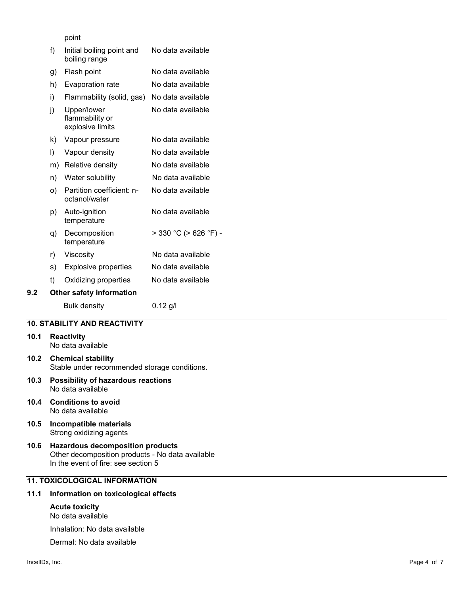point

|     | f) | Initial boiling point and<br>boiling range         | No data available     |
|-----|----|----------------------------------------------------|-----------------------|
|     | g) | Flash point                                        | No data available     |
|     | h) | Evaporation rate                                   | No data available     |
|     | i) | Flammability (solid, gas)                          | No data available     |
|     | j) | Upper/lower<br>flammability or<br>explosive limits | No data available     |
|     | k) | Vapour pressure                                    | No data available     |
|     | I) | Vapour density                                     | No data available     |
|     | m) | Relative density                                   | No data available     |
|     | n) | Water solubility                                   | No data available     |
|     | O) | Partition coefficient: n-<br>octanol/water         | No data available     |
|     | p) | Auto-ignition<br>temperature                       | No data available     |
|     | q) | Decomposition<br>temperature                       | > 330 °C (> 626 °F) - |
|     | r) | Viscosity                                          | No data available     |
|     | s) | <b>Explosive properties</b>                        | No data available     |
|     | t) | Oxidizing properties                               | No data available     |
| 9.2 |    | <b>Other safety information</b>                    |                       |
|     |    | <b>Bulk density</b>                                | $0.12$ g/l            |

#### **10. STABILITY AND REACTIVITY**

#### **10.1 Reactivity**

No data available

- **10.2 Chemical stability**  Stable under recommended storage conditions.
- **10.3 Possibility of hazardous reactions**  No data available
- **10.4 Conditions to avoid**  No data available
- **10.5 Incompatible materials**  Strong oxidizing agents
- **10.6 Hazardous decomposition products**  Other decomposition products - No data available In the event of fire: see section 5

# **11. TOXICOLOGICAL INFORMATION**

### **11.1 Information on toxicological effects**

**Acute toxicity**  No data available

Inhalation: No data available

Dermal: No data available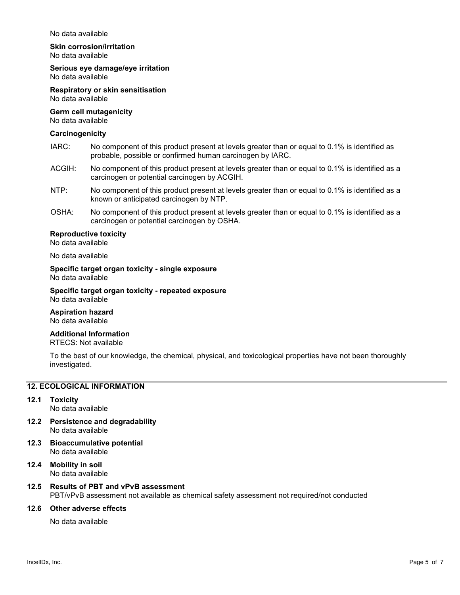#### No data available

### **Skin corrosion/irritation**

No data available

#### **Serious eye damage/eye irritation**  No data available

**Respiratory or skin sensitisation**  No data available

#### **Germ cell mutagenicity**  No data available

#### **Carcinogenicity**

- IARC: No component of this product present at levels greater than or equal to 0.1% is identified as probable, possible or confirmed human carcinogen by IARC.
- ACGIH: No component of this product present at levels greater than or equal to 0.1% is identified as a carcinogen or potential carcinogen by ACGIH.
- NTP: No component of this product present at levels greater than or equal to 0.1% is identified as a known or anticipated carcinogen by NTP.
- OSHA: No component of this product present at levels greater than or equal to 0.1% is identified as a carcinogen or potential carcinogen by OSHA.

#### **Reproductive toxicity**

No data available

No data available

**Specific target organ toxicity - single exposure**  No data available

**Specific target organ toxicity - repeated exposure**  No data available

# **Aspiration hazard**

No data available

#### **Additional Information**  RTECS: Not available

To the best of our knowledge, the chemical, physical, and toxicological properties have not been thoroughly investigated.

#### **12. ECOLOGICAL INFORMATION**

#### **12.1 Toxicity**

No data available

- **12.2 Persistence and degradability**  No data available
- **12.3 Bioaccumulative potential**  No data available
- **12.4 Mobility in soil**  No data available

### **12.5 Results of PBT and vPvB assessment**  PBT/vPvB assessment not available as chemical safety assessment not required/not conducted

### **12.6 Other adverse effects**

No data available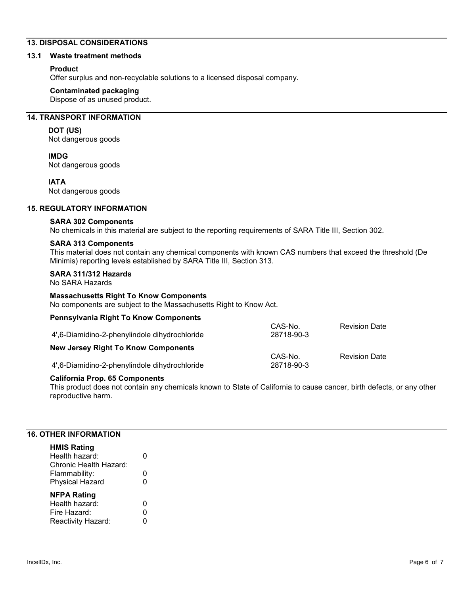# **13. DISPOSAL CONSIDERATIONS**

#### **13.1 Waste treatment methods**

### **Product**

Offer surplus and non-recyclable solutions to a licensed disposal company.

#### **Contaminated packaging**

Dispose of as unused product.

# **14. TRANSPORT INFORMATION**

### **DOT (US)**

Not dangerous goods

**IMDG** Not dangerous goods

#### **IATA**

Not dangerous goods

### **15. REGULATORY INFORMATION**

**SARA 302 Components**  No chemicals in this material are subject to the reporting requirements of SARA Title III, Section 302.

#### **SARA 313 Components**

This material does not contain any chemical components with known CAS numbers that exceed the threshold (De Minimis) reporting levels established by SARA Title III, Section 313.

### **SARA 311/312 Hazards**

No SARA Hazards

#### **Massachusetts Right To Know Components**

No components are subject to the Massachusetts Right to Know Act.

| <b>Pennsylvania Right To Know Components</b> |  |  |  |
|----------------------------------------------|--|--|--|
|----------------------------------------------|--|--|--|

| 4,6-Diamidino-2-phenylindole dihydrochloride | CAS-No.<br>28718-90-3 | <b>Revision Date</b> |
|----------------------------------------------|-----------------------|----------------------|
| <b>New Jersey Right To Know Components</b>   |                       |                      |
|                                              | CAS-No.               | <b>Revision Date</b> |
| 4,6-Diamidino-2-phenylindole dihydrochloride | 28718-90-3            |                      |

#### **California Prop. 65 Components**

This product does not contain any chemicals known to State of California to cause cancer, birth defects, or any other reproductive harm.

# **16. OTHER INFORMATION**

| <b>HMIS Rating</b>     |   |
|------------------------|---|
| Health hazard:         |   |
| Chronic Health Hazard: |   |
| Flammability:          | 0 |
| <b>Physical Hazard</b> | U |
|                        |   |
| <b>NFPA Rating</b>     |   |
| Health hazard:         | O |
| Fire Hazard:           | n |